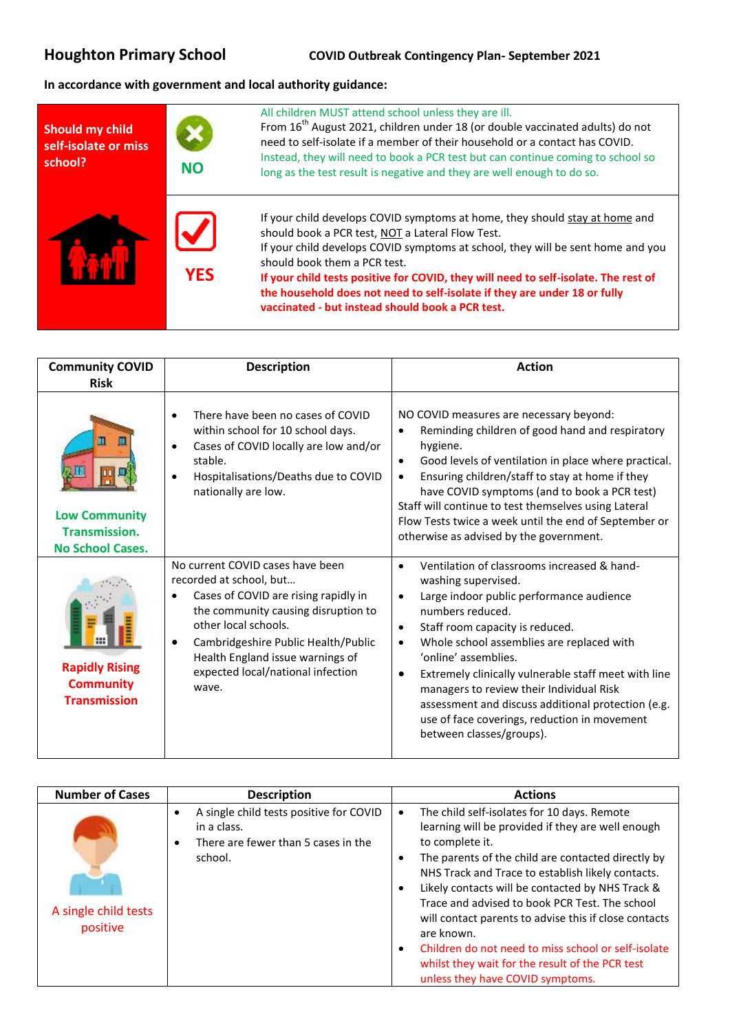## **In accordance with government and local authority guidance:**

| <b>Should my child</b><br>self-isolate or miss<br>school? | <b>NO</b>  | All children MUST attend school unless they are ill.<br>From 16 <sup>th</sup> August 2021, children under 18 (or double vaccinated adults) do not<br>need to self-isolate if a member of their household or a contact has COVID.<br>Instead, they will need to book a PCR test but can continue coming to school so<br>long as the test result is negative and they are well enough to do so.                                                                              |
|-----------------------------------------------------------|------------|----------------------------------------------------------------------------------------------------------------------------------------------------------------------------------------------------------------------------------------------------------------------------------------------------------------------------------------------------------------------------------------------------------------------------------------------------------------------------|
|                                                           | <b>YES</b> | If your child develops COVID symptoms at home, they should stay at home and<br>should book a PCR test, NOT a Lateral Flow Test.<br>If your child develops COVID symptoms at school, they will be sent home and you<br>should book them a PCR test.<br>If your child tests positive for COVID, they will need to self-isolate. The rest of<br>the household does not need to self-isolate if they are under 18 or fully<br>vaccinated - but instead should book a PCR test. |

| <b>Community COVID</b><br><b>Risk</b>                                   | <b>Description</b>                                                                                                                                                                                                                                                                          | <b>Action</b>                                                                                                                                                                                                                                                                                                                                                                                                                                                                                                                             |
|-------------------------------------------------------------------------|---------------------------------------------------------------------------------------------------------------------------------------------------------------------------------------------------------------------------------------------------------------------------------------------|-------------------------------------------------------------------------------------------------------------------------------------------------------------------------------------------------------------------------------------------------------------------------------------------------------------------------------------------------------------------------------------------------------------------------------------------------------------------------------------------------------------------------------------------|
| <b>Low Community</b><br><b>Transmission.</b><br><b>No School Cases.</b> | There have been no cases of COVID<br>within school for 10 school days.<br>Cases of COVID locally are low and/or<br>stable.<br>Hospitalisations/Deaths due to COVID<br>٠<br>nationally are low.                                                                                              | NO COVID measures are necessary beyond:<br>Reminding children of good hand and respiratory<br>٠<br>hygiene.<br>Good levels of ventilation in place where practical.<br>$\bullet$<br>Ensuring children/staff to stay at home if they<br>$\bullet$<br>have COVID symptoms (and to book a PCR test)<br>Staff will continue to test themselves using Lateral<br>Flow Tests twice a week until the end of September or<br>otherwise as advised by the government.                                                                              |
| <b>Rapidly Rising</b><br><b>Community</b><br><b>Transmission</b>        | No current COVID cases have been<br>recorded at school, but<br>Cases of COVID are rising rapidly in<br>the community causing disruption to<br>other local schools.<br>Cambridgeshire Public Health/Public<br>Health England issue warnings of<br>expected local/national infection<br>wave. | Ventilation of classrooms increased & hand-<br>$\bullet$<br>washing supervised.<br>Large indoor public performance audience<br>$\bullet$<br>numbers reduced.<br>Staff room capacity is reduced.<br>$\bullet$<br>Whole school assemblies are replaced with<br>$\bullet$<br>'online' assemblies.<br>Extremely clinically vulnerable staff meet with line<br>٠<br>managers to review their Individual Risk<br>assessment and discuss additional protection (e.g.<br>use of face coverings, reduction in movement<br>between classes/groups). |